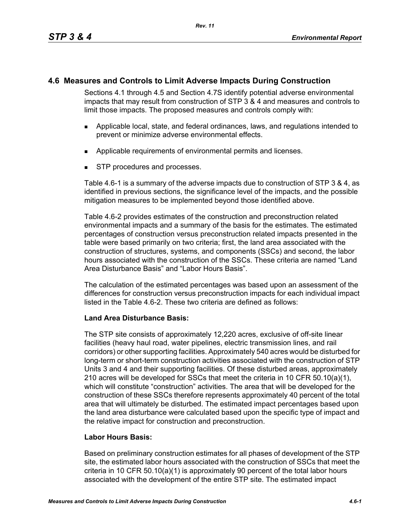# **4.6 Measures and Controls to Limit Adverse Impacts During Construction**

Sections 4.1 through 4.5 and Section 4.7S identify potential adverse environmental impacts that may result from construction of STP 3 & 4 and measures and controls to limit those impacts. The proposed measures and controls comply with:

- Applicable local, state, and federal ordinances, laws, and regulations intended to prevent or minimize adverse environmental effects.
- **Applicable requirements of environmental permits and licenses.**
- STP procedures and processes.

Table 4.6-1 is a summary of the adverse impacts due to construction of STP 3 & 4, as identified in previous sections, the significance level of the impacts, and the possible mitigation measures to be implemented beyond those identified above.

Table 4.6-2 provides estimates of the construction and preconstruction related environmental impacts and a summary of the basis for the estimates. The estimated percentages of construction versus preconstruction related impacts presented in the table were based primarily on two criteria; first, the land area associated with the construction of structures, systems, and components (SSCs) and second, the labor hours associated with the construction of the SSCs. These criteria are named "Land Area Disturbance Basis" and "Labor Hours Basis".

The calculation of the estimated percentages was based upon an assessment of the differences for construction versus preconstruction impacts for each individual impact listed in the Table 4.6-2. These two criteria are defined as follows:

## **Land Area Disturbance Basis:**

The STP site consists of approximately 12,220 acres, exclusive of off-site linear facilities (heavy haul road, water pipelines, electric transmission lines, and rail corridors) or other supporting facilities. Approximately 540 acres would be disturbed for long-term or short-term construction activities associated with the construction of STP Units 3 and 4 and their supporting facilities. Of these disturbed areas, approximately 210 acres will be developed for SSCs that meet the criteria in 10 CFR 50.10(a)(1), which will constitute "construction" activities. The area that will be developed for the construction of these SSCs therefore represents approximately 40 percent of the total area that will ultimately be disturbed. The estimated impact percentages based upon the land area disturbance were calculated based upon the specific type of impact and the relative impact for construction and preconstruction.

## **Labor Hours Basis:**

Based on preliminary construction estimates for all phases of development of the STP site, the estimated labor hours associated with the construction of SSCs that meet the criteria in 10 CFR 50.10(a)(1) is approximately 90 percent of the total labor hours associated with the development of the entire STP site. The estimated impact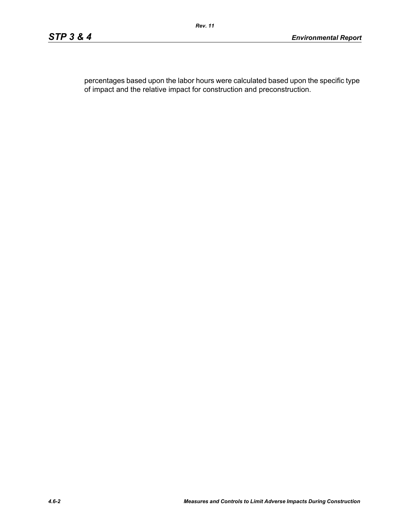percentages based upon the labor hours were calculated based upon the specific type of impact and the relative impact for construction and preconstruction.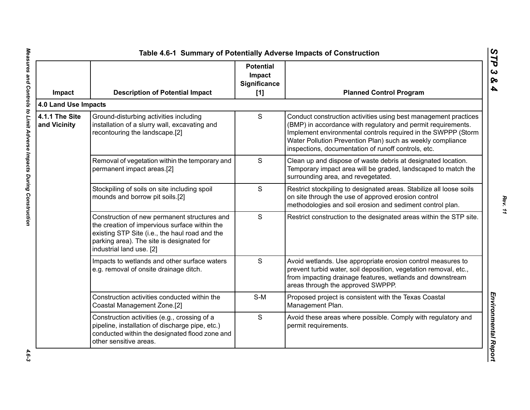| Impact                         | <b>Description of Potential Impact</b>                                                                                                                                                                                   | <b>Potential</b><br>Impact<br>Significance<br>$[1]$ | <b>Planned Control Program</b>                                                                                                                                                                                                                                                                                        |
|--------------------------------|--------------------------------------------------------------------------------------------------------------------------------------------------------------------------------------------------------------------------|-----------------------------------------------------|-----------------------------------------------------------------------------------------------------------------------------------------------------------------------------------------------------------------------------------------------------------------------------------------------------------------------|
| 4.0 Land Use Impacts           |                                                                                                                                                                                                                          |                                                     |                                                                                                                                                                                                                                                                                                                       |
| 4.1.1 The Site<br>and Vicinity | Ground-disturbing activities including<br>installation of a slurry wall, excavating and<br>recontouring the landscape.[2]                                                                                                | S                                                   | Conduct construction activities using best management practices<br>(BMP) in accordance with regulatory and permit requirements.<br>Implement environmental controls required in the SWPPP (Storm<br>Water Pollution Prevention Plan) such as weekly compliance<br>inspections, documentation of runoff controls, etc. |
|                                | Removal of vegetation within the temporary and<br>permanent impact areas.[2]                                                                                                                                             | S                                                   | Clean up and dispose of waste debris at designated location.<br>Temporary impact area will be graded, landscaped to match the<br>surrounding area, and revegetated.                                                                                                                                                   |
|                                | Stockpiling of soils on site including spoil<br>mounds and borrow pit soils.[2]                                                                                                                                          | S                                                   | Restrict stockpiling to designated areas. Stabilize all loose soils<br>on site through the use of approved erosion control<br>methodologies and soil erosion and sediment control plan.                                                                                                                               |
|                                | Construction of new permanent structures and<br>the creation of impervious surface within the<br>existing STP Site (i.e., the haul road and the<br>parking area). The site is designated for<br>industrial land use. [2] | S                                                   | Restrict construction to the designated areas within the STP site.                                                                                                                                                                                                                                                    |
|                                | Impacts to wetlands and other surface waters<br>e.g. removal of onsite drainage ditch.                                                                                                                                   | S                                                   | Avoid wetlands. Use appropriate erosion control measures to<br>prevent turbid water, soil deposition, vegetation removal, etc.,<br>from impacting drainage features, wetlands and downstream<br>areas through the approved SWPPP.                                                                                     |
|                                | Construction activities conducted within the<br>Coastal Management Zone.[2]                                                                                                                                              | $S-M$                                               | Proposed project is consistent with the Texas Coastal<br>Management Plan.                                                                                                                                                                                                                                             |
|                                | Construction activities (e.g., crossing of a<br>pipeline, installation of discharge pipe, etc.)<br>conducted within the designated flood zone and<br>other sensitive areas.                                              | S                                                   | Avoid these areas where possible. Comply with regulatory and<br>permit requirements.                                                                                                                                                                                                                                  |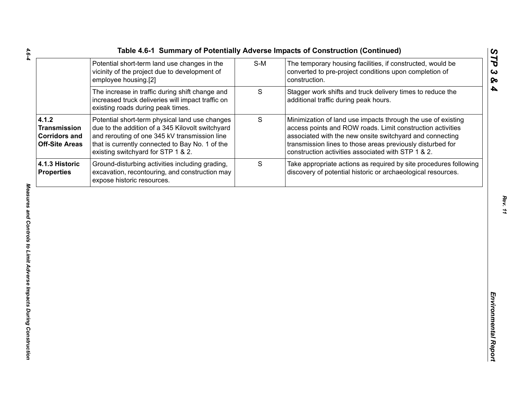| Table 4.6-1 Summary of Potentially Adverse Impacts of Construction (Continued) |     |                                                                                                           |
|--------------------------------------------------------------------------------|-----|-----------------------------------------------------------------------------------------------------------|
| Potential short-term land use changes in the                                   | S-M | The temporary housing facilities, if constructed                                                          |
| $\mathbf{1}$                                                                   |     | $\sim$ and $\sim$ and $\sim$ and $\sim$ and $\sim$ and $\sim$ and $\sim$ and $\sim$ and $\sim$ and $\sim$ |

|                                                                               | Potential short-term land use changes in the<br>vicinity of the project due to development of<br>employee housing.[2]                                                                                                                        | $S-M$       | The temporary housing facilities, if constructed, would be<br>converted to pre-project conditions upon completion of<br>construction.                                                                                                                                                                      |
|-------------------------------------------------------------------------------|----------------------------------------------------------------------------------------------------------------------------------------------------------------------------------------------------------------------------------------------|-------------|------------------------------------------------------------------------------------------------------------------------------------------------------------------------------------------------------------------------------------------------------------------------------------------------------------|
|                                                                               | The increase in traffic during shift change and<br>increased truck deliveries will impact traffic on<br>existing roads during peak times.                                                                                                    | S           | Stagger work shifts and truck delivery times to reduce the<br>additional traffic during peak hours.                                                                                                                                                                                                        |
| 4.1.2<br><b>Transmission</b><br><b>Corridors and</b><br><b>Off-Site Areas</b> | Potential short-term physical land use changes<br>due to the addition of a 345 Kilovolt switchyard<br>and rerouting of one 345 kV transmission line<br>that is currently connected to Bay No. 1 of the<br>existing switchyard for STP 1 & 2. | $\mathsf S$ | Minimization of land use impacts through the use of existing<br>access points and ROW roads. Limit construction activities<br>associated with the new onsite switchyard and connecting<br>transmission lines to those areas previously disturbed for<br>construction activities associated with STP 1 & 2. |
| 4.1.3 Historic<br><b>Properties</b>                                           | Ground-disturbing activities including grading,<br>excavation, recontouring, and construction may<br>expose historic resources.                                                                                                              | S           | Take appropriate actions as required by site procedures following<br>discovery of potential historic or archaeological resources.                                                                                                                                                                          |
|                                                                               |                                                                                                                                                                                                                                              |             |                                                                                                                                                                                                                                                                                                            |
|                                                                               |                                                                                                                                                                                                                                              |             |                                                                                                                                                                                                                                                                                                            |
|                                                                               |                                                                                                                                                                                                                                              |             |                                                                                                                                                                                                                                                                                                            |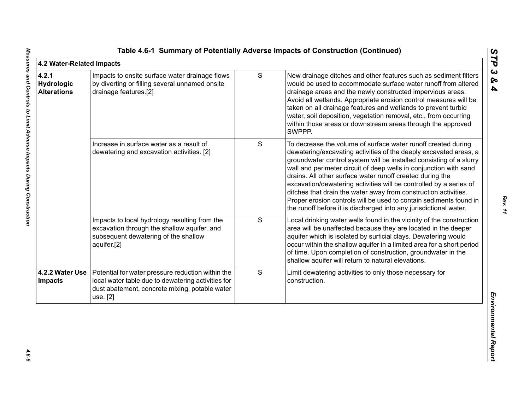| 4.2 Water-Related Impacts                 |                                                                                                                                                                       |   |                                                                                                                                                                                                                                                                                                                                                                                                                                                                                                                                                                                                                                 | STP                               |
|-------------------------------------------|-----------------------------------------------------------------------------------------------------------------------------------------------------------------------|---|---------------------------------------------------------------------------------------------------------------------------------------------------------------------------------------------------------------------------------------------------------------------------------------------------------------------------------------------------------------------------------------------------------------------------------------------------------------------------------------------------------------------------------------------------------------------------------------------------------------------------------|-----------------------------------|
| 4.2.1<br>Hydrologic<br><b>Alterations</b> | Impacts to onsite surface water drainage flows<br>by diverting or filling several unnamed onsite<br>drainage features.[2]                                             | S | New drainage ditches and other features such as sediment filters<br>would be used to accommodate surface water runoff from altered<br>drainage areas and the newly constructed impervious areas.<br>Avoid all wetlands. Appropriate erosion control measures will be<br>taken on all drainage features and wetlands to prevent turbid<br>water, soil deposition, vegetation removal, etc., from occurring<br>within those areas or downstream areas through the approved<br>SWPPP.                                                                                                                                              | $\boldsymbol{\omega}$<br>ଚ୍ଚ<br>4 |
|                                           | Increase in surface water as a result of<br>dewatering and excavation activities. [2]                                                                                 | S | To decrease the volume of surface water runoff created during<br>dewatering/excavating activities of the deeply excavated areas, a<br>groundwater control system will be installed consisting of a slurry<br>wall and perimeter circuit of deep wells in conjunction with sand<br>drains. All other surface water runoff created during the<br>excavation/dewatering activities will be controlled by a series of<br>ditches that drain the water away from construction activities.<br>Proper erosion controls will be used to contain sediments found in<br>the runoff before it is discharged into any jurisdictional water. |                                   |
|                                           | Impacts to local hydrology resulting from the<br>excavation through the shallow aquifer, and<br>subsequent dewatering of the shallow<br>aquifer.[2]                   | S | Local drinking water wells found in the vicinity of the construction<br>area will be unaffected because they are located in the deeper<br>aquifer which is isolated by surficial clays. Dewatering would<br>occur within the shallow aquifer in a limited area for a short period<br>of time. Upon completion of construction, groundwater in the<br>shallow aquifer will return to natural elevations.                                                                                                                                                                                                                         |                                   |
| 4.2.2 Water Use<br><b>Impacts</b>         | Potential for water pressure reduction within the<br>local water table due to dewatering activities for<br>dust abatement, concrete mixing, potable water<br>use. [2] | S | Limit dewatering activities to only those necessary for<br>construction.                                                                                                                                                                                                                                                                                                                                                                                                                                                                                                                                                        | Environmental Repor               |
|                                           |                                                                                                                                                                       |   |                                                                                                                                                                                                                                                                                                                                                                                                                                                                                                                                                                                                                                 |                                   |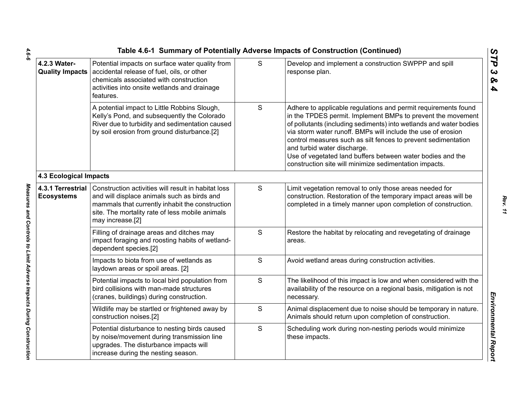|                                        |                                                                                                                                                                                                                              |   | Table 4.6-1 Summary of Potentially Adverse Impacts of Construction (Continued)                                                                                                                                                                                                                                                                                                                                                                                                              |
|----------------------------------------|------------------------------------------------------------------------------------------------------------------------------------------------------------------------------------------------------------------------------|---|---------------------------------------------------------------------------------------------------------------------------------------------------------------------------------------------------------------------------------------------------------------------------------------------------------------------------------------------------------------------------------------------------------------------------------------------------------------------------------------------|
| 4.2.3 Water-                           | Potential impacts on surface water quality from<br>Quality Impacts   accidental release of fuel, oils, or other<br>chemicals associated with construction<br>activities into onsite wetlands and drainage<br>features.       | S | Develop and implement a construction SWPPP and spill<br>response plan.                                                                                                                                                                                                                                                                                                                                                                                                                      |
|                                        | A potential impact to Little Robbins Slough,<br>Kelly's Pond, and subsequently the Colorado<br>River due to turbidity and sedimentation caused<br>by soil erosion from ground disturbance.[2]                                | S | Adhere to applicable regulations and permit requirements found<br>in the TPDES permit. Implement BMPs to prevent the movement<br>of pollutants (including sediments) into wetlands and water bodies<br>via storm water runoff. BMPs will include the use of erosion<br>control measures such as silt fences to prevent sedimentation<br>and turbid water discharge.<br>Use of vegetated land buffers between water bodies and the<br>construction site will minimize sedimentation impacts. |
| <b>4.3 Ecological Impacts</b>          |                                                                                                                                                                                                                              |   |                                                                                                                                                                                                                                                                                                                                                                                                                                                                                             |
| 4.3.1 Terrestrial<br><b>Ecosystems</b> | Construction activities will result in habitat loss<br>and will displace animals such as birds and<br>mammals that currently inhabit the construction<br>site. The mortality rate of less mobile animals<br>may increase.[2] | S | Limit vegetation removal to only those areas needed for<br>construction. Restoration of the temporary impact areas will be<br>completed in a timely manner upon completion of construction.                                                                                                                                                                                                                                                                                                 |
|                                        | Filling of drainage areas and ditches may<br>impact foraging and roosting habits of wetland-<br>dependent species.[2]                                                                                                        | S | Restore the habitat by relocating and revegetating of drainage<br>areas.                                                                                                                                                                                                                                                                                                                                                                                                                    |
|                                        | Impacts to biota from use of wetlands as<br>laydown areas or spoil areas. [2]                                                                                                                                                | S | Avoid wetland areas during construction activities.                                                                                                                                                                                                                                                                                                                                                                                                                                         |
|                                        | Potential impacts to local bird population from<br>bird collisions with man-made structures<br>(cranes, buildings) during construction.                                                                                      | S | The likelihood of this impact is low and when considered with the<br>availability of the resource on a regional basis, mitigation is not<br>necessary.                                                                                                                                                                                                                                                                                                                                      |
|                                        | Wildlife may be startled or frightened away by<br>construction noises.[2]                                                                                                                                                    | S | Animal displacement due to noise should be temporary in nature.<br>Animals should return upon completion of construction.                                                                                                                                                                                                                                                                                                                                                                   |
|                                        | Potential disturbance to nesting birds caused<br>by noise/movement during transmission line<br>upgrades. The disturbance impacts will<br>increase during the nesting season.                                                 | S | Scheduling work during non-nesting periods would minimize<br>these impacts.                                                                                                                                                                                                                                                                                                                                                                                                                 |
|                                        |                                                                                                                                                                                                                              |   |                                                                                                                                                                                                                                                                                                                                                                                                                                                                                             |

 $4.6 - 6$ *4.6-6 Measures and Controls to Limit Adverse Impacts During Construction* 

Measures and Controls to Limit Adverse Impacts During Construction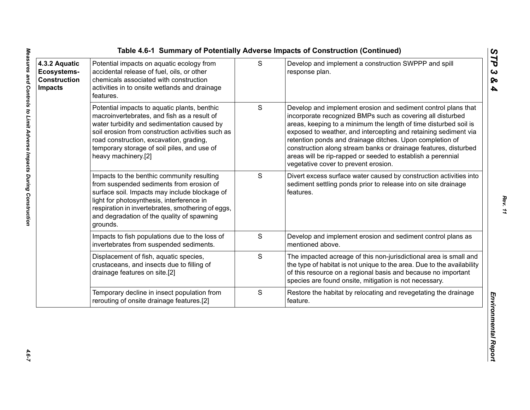| 4.3.2 Aquatic<br>Ecosystems-<br><b>Construction</b><br><b>Impacts</b> | Potential impacts on aquatic ecology from<br>accidental release of fuel, oils, or other<br>chemicals associated with construction<br>activities in to onsite wetlands and drainage<br>features.                                                                                                                  | S             | Develop and implement a construction SWPPP and spill<br>response plan.                                                                                                                                                                                                                                                                                                                                                                                                                                   |
|-----------------------------------------------------------------------|------------------------------------------------------------------------------------------------------------------------------------------------------------------------------------------------------------------------------------------------------------------------------------------------------------------|---------------|----------------------------------------------------------------------------------------------------------------------------------------------------------------------------------------------------------------------------------------------------------------------------------------------------------------------------------------------------------------------------------------------------------------------------------------------------------------------------------------------------------|
|                                                                       | Potential impacts to aquatic plants, benthic<br>macroinvertebrates, and fish as a result of<br>water turbidity and sedimentation caused by<br>soil erosion from construction activities such as<br>road construction, excavation, grading,<br>temporary storage of soil piles, and use of<br>heavy machinery.[2] | ${\mathsf S}$ | Develop and implement erosion and sediment control plans that<br>incorporate recognized BMPs such as covering all disturbed<br>areas, keeping to a minimum the length of time disturbed soil is<br>exposed to weather, and intercepting and retaining sediment via<br>retention ponds and drainage ditches. Upon completion of<br>construction along stream banks or drainage features, disturbed<br>areas will be rip-rapped or seeded to establish a perennial<br>vegetative cover to prevent erosion. |
|                                                                       | Impacts to the benthic community resulting<br>from suspended sediments from erosion of<br>surface soil. Impacts may include blockage of<br>light for photosynthesis, interference in<br>respiration in invertebrates, smothering of eggs,<br>and degradation of the quality of spawning<br>grounds.              | S             | Divert excess surface water caused by construction activities into<br>sediment settling ponds prior to release into on site drainage<br>features.                                                                                                                                                                                                                                                                                                                                                        |
|                                                                       | Impacts to fish populations due to the loss of<br>invertebrates from suspended sediments.                                                                                                                                                                                                                        | S             | Develop and implement erosion and sediment control plans as<br>mentioned above.                                                                                                                                                                                                                                                                                                                                                                                                                          |
|                                                                       | Displacement of fish, aquatic species,<br>crustaceans, and insects due to filling of<br>drainage features on site.[2]                                                                                                                                                                                            | S             | The impacted acreage of this non-jurisdictional area is small and<br>the type of habitat is not unique to the area. Due to the availability<br>of this resource on a regional basis and because no important<br>species are found onsite, mitigation is not necessary.                                                                                                                                                                                                                                   |
|                                                                       | Temporary decline in insect population from<br>rerouting of onsite drainage features.[2]                                                                                                                                                                                                                         | $\mathbf S$   | Restore the habitat by relocating and revegetating the drainage<br>feature.                                                                                                                                                                                                                                                                                                                                                                                                                              |

*STP 3 & 4*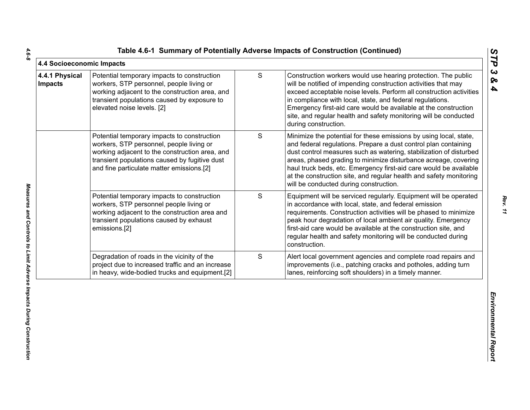|  |  | Table 4.6-1 Summary of Potentially Adverse Impacts of Construction (Continued) |  |  |  |  |
|--|--|--------------------------------------------------------------------------------|--|--|--|--|
|--|--|--------------------------------------------------------------------------------|--|--|--|--|

| 4.4 Socioeconomic Impacts        |                                                                                                                                                                                                                                         |               |                                                                                                                                                                                                                                                                                                                                                                                                                                                                    | STP                                            |
|----------------------------------|-----------------------------------------------------------------------------------------------------------------------------------------------------------------------------------------------------------------------------------------|---------------|--------------------------------------------------------------------------------------------------------------------------------------------------------------------------------------------------------------------------------------------------------------------------------------------------------------------------------------------------------------------------------------------------------------------------------------------------------------------|------------------------------------------------|
| 4.4.1 Physical<br><b>Impacts</b> | Potential temporary impacts to construction<br>workers, STP personnel, people living or<br>working adjacent to the construction area, and<br>transient populations caused by exposure to<br>elevated noise levels. [2]                  | ${\mathsf S}$ | Construction workers would use hearing protection. The public<br>will be notified of impending construction activities that may<br>exceed acceptable noise levels. Perform all construction activities<br>in compliance with local, state, and federal regulations.<br>Emergency first-aid care would be available at the construction<br>site, and regular health and safety monitoring will be conducted<br>during construction.                                 | $\boldsymbol{\omega}$<br>ବ<br>$\blacktriangle$ |
|                                  | Potential temporary impacts to construction<br>workers, STP personnel, people living or<br>working adjacent to the construction area, and<br>transient populations caused by fugitive dust<br>and fine particulate matter emissions.[2] | S             | Minimize the potential for these emissions by using local, state,<br>and federal regulations. Prepare a dust control plan containing<br>dust control measures such as watering, stabilization of disturbed<br>areas, phased grading to minimize disturbance acreage, covering<br>haul truck beds, etc. Emergency first-aid care would be available<br>at the construction site, and regular health and safety monitoring<br>will be conducted during construction. |                                                |
|                                  | Potential temporary impacts to construction<br>workers, STP personnel people living or<br>working adjacent to the construction area and<br>transient populations caused by exhaust<br>emissions.[2]                                     | S             | Equipment will be serviced regularly. Equipment will be operated<br>in accordance with local, state, and federal emission<br>requirements. Construction activities will be phased to minimize<br>peak hour degradation of local ambient air quality. Emergency<br>first-aid care would be available at the construction site, and<br>regular health and safety monitoring will be conducted during<br>construction.                                                |                                                |
|                                  | Degradation of roads in the vicinity of the<br>project due to increased traffic and an increase<br>in heavy, wide-bodied trucks and equipment.[2]                                                                                       | S             | Alert local government agencies and complete road repairs and<br>improvements (i.e., patching cracks and potholes, adding turn<br>lanes, reinforcing soft shoulders) in a timely manner.                                                                                                                                                                                                                                                                           |                                                |
|                                  |                                                                                                                                                                                                                                         |               |                                                                                                                                                                                                                                                                                                                                                                                                                                                                    | Environmental Report                           |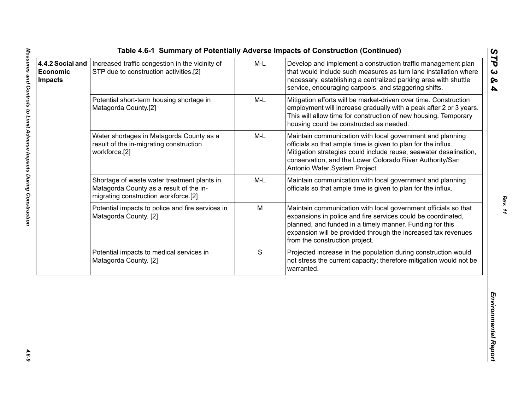|                                                |                                                                                                                                |       | Table 4.6-1 Summary of Potentially Adverse Impacts of Construction (Continued)                                                                                                                                                                                                                |                                          |
|------------------------------------------------|--------------------------------------------------------------------------------------------------------------------------------|-------|-----------------------------------------------------------------------------------------------------------------------------------------------------------------------------------------------------------------------------------------------------------------------------------------------|------------------------------------------|
| 4.4.2 Social and<br>Economic<br><b>Impacts</b> | Increased traffic congestion in the vicinity of<br>STP due to construction activities.[2]                                      | $M-L$ | Develop and implement a construction traffic management plan<br>that would include such measures as turn lane installation where<br>necessary, establishing a centralized parking area with shuttle<br>service, encouraging carpools, and staggering shifts.                                  | STP<br>$\boldsymbol{\omega}$<br>ନ୍ତ<br>4 |
|                                                | Potential short-term housing shortage in<br>Matagorda County.[2]                                                               | $M-L$ | Mitigation efforts will be market-driven over time. Construction<br>employment will increase gradually with a peak after 2 or 3 years.<br>This will allow time for construction of new housing. Temporary<br>housing could be constructed as needed.                                          |                                          |
|                                                | Water shortages in Matagorda County as a<br>result of the in-migrating construction<br>workforce.[2]                           | $M-L$ | Maintain communication with local government and planning<br>officials so that ample time is given to plan for the influx.<br>Mitigation strategies could include reuse, seawater desalination,<br>conservation, and the Lower Colorado River Authority/San<br>Antonio Water System Project.  |                                          |
|                                                | Shortage of waste water treatment plants in<br>Matagorda County as a result of the in-<br>migrating construction workforce.[2] | M-L   | Maintain communication with local government and planning<br>officials so that ample time is given to plan for the influx.                                                                                                                                                                    |                                          |
|                                                | Potential impacts to police and fire services in<br>Matagorda County. [2]                                                      | M     | Maintain communication with local government officials so that<br>expansions in police and fire services could be coordinated,<br>planned, and funded in a timely manner. Funding for this<br>expansion will be provided through the increased tax revenues<br>from the construction project. |                                          |
|                                                | Potential impacts to medical services in<br>Matagorda County. [2]                                                              | S     | Projected increase in the population during construction would<br>not stress the current capacity; therefore mitigation would not be<br>warranted.                                                                                                                                            |                                          |
|                                                |                                                                                                                                |       |                                                                                                                                                                                                                                                                                               | Environmental Report                     |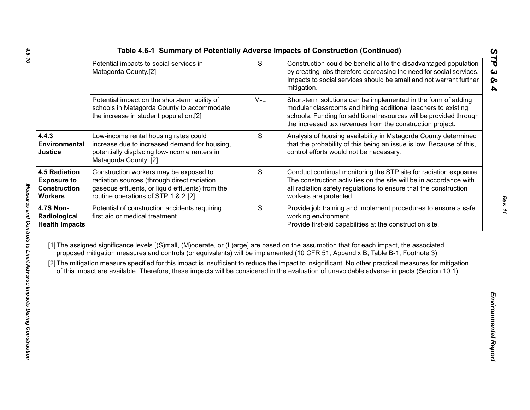|                                                                                     | Potential impacts to social services in<br>Matagorda County.[2]                                                                                                                   | ${\mathsf S}$ | Construction could be beneficial to the disadvantaged population<br>by creating jobs therefore decreasing the need for social services.<br>Impacts to social services should be small and not warrant further<br>mitigation.                                                                                                                                                                                                                                                                                                                                                     |
|-------------------------------------------------------------------------------------|-----------------------------------------------------------------------------------------------------------------------------------------------------------------------------------|---------------|----------------------------------------------------------------------------------------------------------------------------------------------------------------------------------------------------------------------------------------------------------------------------------------------------------------------------------------------------------------------------------------------------------------------------------------------------------------------------------------------------------------------------------------------------------------------------------|
|                                                                                     | Potential impact on the short-term ability of<br>schools in Matagorda County to accommodate<br>the increase in student population.[2]                                             | $M-L$         | Short-term solutions can be implemented in the form of adding<br>modular classrooms and hiring additional teachers to existing<br>schools. Funding for additional resources will be provided through<br>the increased tax revenues from the construction project.                                                                                                                                                                                                                                                                                                                |
| 4.4.3<br>Environmental<br><b>Justice</b>                                            | Low-income rental housing rates could<br>increase due to increased demand for housing,<br>potentially displacing low-income renters in<br>Matagorda County. [2]                   | S             | Analysis of housing availability in Matagorda County determined<br>that the probability of this being an issue is low. Because of this,<br>control efforts would not be necessary.                                                                                                                                                                                                                                                                                                                                                                                               |
| <b>4.5 Radiation</b><br><b>Exposure to</b><br><b>Construction</b><br><b>Workers</b> | Construction workers may be exposed to<br>radiation sources (through direct radiation,<br>gaseous effluents, or liquid effluents) from the<br>routine operations of STP 1 & 2.[2] | $\mathsf S$   | Conduct continual monitoring the STP site for radiation exposure.<br>The construction activities on the site will be in accordance with<br>all radiation safety regulations to ensure that the construction<br>workers are protected.                                                                                                                                                                                                                                                                                                                                            |
| <b>4.7S Non-</b><br>Radiological<br><b>Health Impacts</b>                           | Potential of construction accidents requiring<br>first aid or medical treatment.                                                                                                  | $\mathsf S$   | Provide job training and implement procedures to ensure a safe<br>working environment.<br>Provide first-aid capabilities at the construction site.                                                                                                                                                                                                                                                                                                                                                                                                                               |
|                                                                                     |                                                                                                                                                                                   |               | [1] The assigned significance levels [(S)mall, (M)oderate, or (L)arge] are based on the assumption that for each impact, the associated<br>proposed mitigation measures and controls (or equivalents) will be implemented (10 CFR 51, Appendix B, Table B-1, Footnote 3)<br>[2] The mitigation measure specified for this impact is insufficient to reduce the impact to insignificant. No other practical measures for mitigation<br>of this impact are available. Therefore, these impacts will be considered in the evaluation of unavoidable adverse impacts (Section 10.1). |
|                                                                                     |                                                                                                                                                                                   |               |                                                                                                                                                                                                                                                                                                                                                                                                                                                                                                                                                                                  |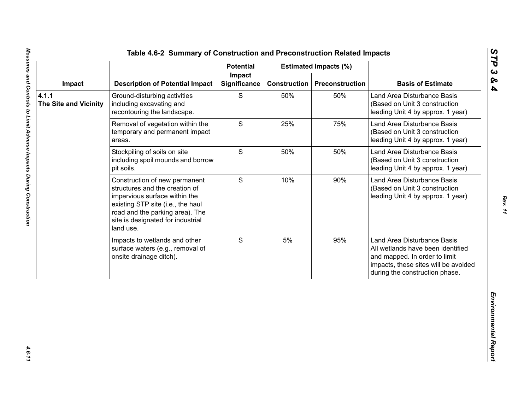|                                       |                                                                                                                                                                                                                            | <b>Potential</b>              |                     | <b>Estimated Impacts (%)</b> |                                                                                                                                                                             |
|---------------------------------------|----------------------------------------------------------------------------------------------------------------------------------------------------------------------------------------------------------------------------|-------------------------------|---------------------|------------------------------|-----------------------------------------------------------------------------------------------------------------------------------------------------------------------------|
| Impact                                | <b>Description of Potential Impact</b>                                                                                                                                                                                     | Impact<br><b>Significance</b> | <b>Construction</b> | <b>Preconstruction</b>       | <b>Basis of Estimate</b>                                                                                                                                                    |
| 4.1.1<br><b>The Site and Vicinity</b> | Ground-disturbing activities<br>including excavating and<br>recontouring the landscape.                                                                                                                                    | S                             | 50%                 | 50%                          | Land Area Disturbance Basis<br>(Based on Unit 3 construction<br>leading Unit 4 by approx. 1 year)                                                                           |
|                                       | Removal of vegetation within the<br>temporary and permanent impact<br>areas.                                                                                                                                               | S                             | 25%                 | 75%                          | Land Area Disturbance Basis<br>(Based on Unit 3 construction<br>leading Unit 4 by approx. 1 year)                                                                           |
|                                       | Stockpiling of soils on site<br>including spoil mounds and borrow<br>pit soils.                                                                                                                                            | S                             | 50%                 | 50%                          | Land Area Disturbance Basis<br>(Based on Unit 3 construction<br>leading Unit 4 by approx. 1 year)                                                                           |
|                                       | Construction of new permanent<br>structures and the creation of<br>impervious surface within the<br>existing STP site (i.e., the haul<br>road and the parking area). The<br>site is designated for industrial<br>land use. | S                             | 10%                 | 90%                          | Land Area Disturbance Basis<br>(Based on Unit 3 construction<br>leading Unit 4 by approx. 1 year)                                                                           |
|                                       | Impacts to wetlands and other<br>surface waters (e.g., removal of<br>onsite drainage ditch).                                                                                                                               | S                             | 5%                  | 95%                          | Land Area Disturbance Basis<br>All wetlands have been identified<br>and mapped. In order to limit<br>impacts, these sites will be avoided<br>during the construction phase. |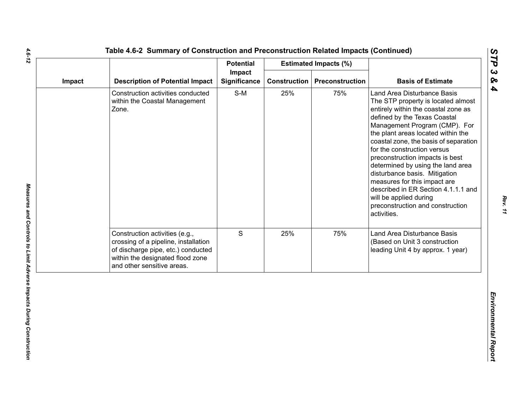|        |                                                                                                                                                                                | <b>Potential</b>              |                     | <b>Estimated Impacts (%)</b> |                                                                                                                                                                                                                                                                                                                                                                                                                                                                                                                                                      |
|--------|--------------------------------------------------------------------------------------------------------------------------------------------------------------------------------|-------------------------------|---------------------|------------------------------|------------------------------------------------------------------------------------------------------------------------------------------------------------------------------------------------------------------------------------------------------------------------------------------------------------------------------------------------------------------------------------------------------------------------------------------------------------------------------------------------------------------------------------------------------|
| Impact | <b>Description of Potential Impact</b>                                                                                                                                         | Impact<br><b>Significance</b> | <b>Construction</b> | Preconstruction              | <b>Basis of Estimate</b>                                                                                                                                                                                                                                                                                                                                                                                                                                                                                                                             |
|        | Construction activities conducted<br>within the Coastal Management<br>Zone.                                                                                                    | $S-M$                         | 25%                 | 75%                          | Land Area Disturbance Basis<br>The STP property is located almost<br>entirely within the coastal zone as<br>defined by the Texas Coastal<br>Management Program (CMP). For<br>the plant areas located within the<br>coastal zone, the basis of separation<br>for the construction versus<br>preconstruction impacts is best<br>determined by using the land area<br>disturbance basis. Mitigation<br>measures for this impact are<br>described in ER Section 4.1.1.1 and<br>will be applied during<br>preconstruction and construction<br>activities. |
|        | Construction activities (e.g.,<br>crossing of a pipeline, installation<br>of discharge pipe, etc.) conducted<br>within the designated flood zone<br>and other sensitive areas. | S                             | 25%                 | 75%                          | Land Area Disturbance Basis<br>(Based on Unit 3 construction<br>leading Unit 4 by approx. 1 year)                                                                                                                                                                                                                                                                                                                                                                                                                                                    |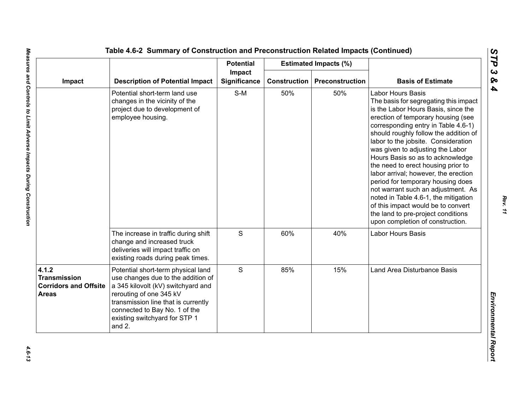|                                                                              |                                                                                                                                                                                                                                                              | <b>Potential</b>              |                     | <b>Estimated Impacts (%)</b> |                                                                                                                                                                                                                                                                                                                                                                                                                                                                                                                                                                                                                                                                |
|------------------------------------------------------------------------------|--------------------------------------------------------------------------------------------------------------------------------------------------------------------------------------------------------------------------------------------------------------|-------------------------------|---------------------|------------------------------|----------------------------------------------------------------------------------------------------------------------------------------------------------------------------------------------------------------------------------------------------------------------------------------------------------------------------------------------------------------------------------------------------------------------------------------------------------------------------------------------------------------------------------------------------------------------------------------------------------------------------------------------------------------|
| Impact                                                                       | <b>Description of Potential Impact</b>                                                                                                                                                                                                                       | Impact<br><b>Significance</b> | <b>Construction</b> | Preconstruction              | <b>Basis of Estimate</b>                                                                                                                                                                                                                                                                                                                                                                                                                                                                                                                                                                                                                                       |
|                                                                              | Potential short-term land use<br>changes in the vicinity of the<br>project due to development of<br>employee housing.                                                                                                                                        | $S-M$                         | 50%                 | 50%                          | <b>Labor Hours Basis</b><br>The basis for segregating this impact<br>is the Labor Hours Basis, since the<br>erection of temporary housing (see<br>corresponding entry in Table 4.6-1)<br>should roughly follow the addition of<br>labor to the jobsite. Consideration<br>was given to adjusting the Labor<br>Hours Basis so as to acknowledge<br>the need to erect housing prior to<br>labor arrival; however, the erection<br>period for temporary housing does<br>not warrant such an adjustment. As<br>noted in Table 4.6-1, the mitigation<br>of this impact would be to convert<br>the land to pre-project conditions<br>upon completion of construction. |
|                                                                              | The increase in traffic during shift<br>change and increased truck<br>deliveries will impact traffic on<br>existing roads during peak times.                                                                                                                 | $\mathsf S$                   | 60%                 | 40%                          | Labor Hours Basis                                                                                                                                                                                                                                                                                                                                                                                                                                                                                                                                                                                                                                              |
| 4.1.2<br><b>Transmission</b><br><b>Corridors and Offsite</b><br><b>Areas</b> | Potential short-term physical land<br>use changes due to the addition of<br>a 345 kilovolt (kV) switchyard and<br>rerouting of one 345 kV<br>transmission line that is currently<br>connected to Bay No. 1 of the<br>existing switchyard for STP 1<br>and 2. | S                             | 85%                 | 15%                          | Land Area Disturbance Basis                                                                                                                                                                                                                                                                                                                                                                                                                                                                                                                                                                                                                                    |

*STP 3 & 4*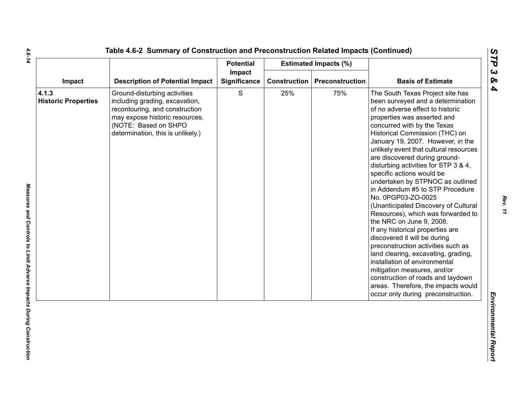|                                     | Impact<br><b>Description of Potential Impact</b>                                                                                                                                                | <b>Potential</b> |     | <b>Estimated Impacts (%)</b>          |                                                                                                                                                                                                                                                                                                                                                                                                                                                                                                                                                                                                                                                                                                                                                                                                                                                                                                                                          |
|-------------------------------------|-------------------------------------------------------------------------------------------------------------------------------------------------------------------------------------------------|------------------|-----|---------------------------------------|------------------------------------------------------------------------------------------------------------------------------------------------------------------------------------------------------------------------------------------------------------------------------------------------------------------------------------------------------------------------------------------------------------------------------------------------------------------------------------------------------------------------------------------------------------------------------------------------------------------------------------------------------------------------------------------------------------------------------------------------------------------------------------------------------------------------------------------------------------------------------------------------------------------------------------------|
| Impact                              |                                                                                                                                                                                                 | Significance     |     | <b>Construction   Preconstruction</b> | <b>Basis of Estimate</b>                                                                                                                                                                                                                                                                                                                                                                                                                                                                                                                                                                                                                                                                                                                                                                                                                                                                                                                 |
| 4.1.3<br><b>Historic Properties</b> | Ground-disturbing activities<br>including grading, excavation,<br>recontouring, and construction<br>may expose historic resources.<br>(NOTE: Based on SHPO<br>determination, this is unlikely.) | S                | 25% | 75%                                   | The South Texas Project site has<br>been surveyed and a determination<br>of no adverse effect to historic<br>properties was asserted and<br>concurred with by the Texas<br>Historical Commission (THC) on<br>January 19, 2007. However, in the<br>unlikely event that cultural resources<br>are discovered during ground-<br>disturbing activities for STP 3 & 4,<br>specific actions would be<br>undertaken by STPNOC as outlined<br>in Addendum #5 to STP Procedure<br>No. 0PGP03-ZO-0025<br>(Unanticipated Discovery of Cultural<br>Resources), which was forwarded to<br>the NRC on June 9, 2008.<br>If any historical properties are<br>discovered it will be during<br>preconstruction activities such as<br>land clearing, excavating, grading,<br>installation of environmental<br>mitigation measures, and/or<br>construction of roads and laydown<br>areas. Therefore, the impacts would<br>occur only during preconstruction. |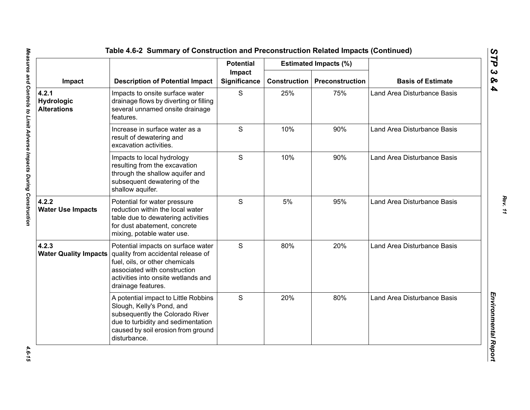|                                           | <b>Description of Potential Impact</b>                                                                                                                                                                  | <b>Potential</b><br>Impact<br><b>Significance</b> |                     | <b>Estimated Impacts (%)</b> | <b>Basis of Estimate</b>    |
|-------------------------------------------|---------------------------------------------------------------------------------------------------------------------------------------------------------------------------------------------------------|---------------------------------------------------|---------------------|------------------------------|-----------------------------|
| Impact                                    |                                                                                                                                                                                                         |                                                   | <b>Construction</b> | Preconstruction              |                             |
| 4.2.1<br>Hydrologic<br><b>Alterations</b> | Impacts to onsite surface water<br>drainage flows by diverting or filling<br>several unnamed onsite drainage<br>features.                                                                               | S                                                 | 25%                 | 75%                          | Land Area Disturbance Basis |
|                                           | Increase in surface water as a<br>result of dewatering and<br>excavation activities.                                                                                                                    | S                                                 | 10%                 | 90%                          | Land Area Disturbance Basis |
|                                           | Impacts to local hydrology<br>resulting from the excavation<br>through the shallow aquifer and<br>subsequent dewatering of the<br>shallow aquifer.                                                      | S                                                 | 10%                 | 90%                          | Land Area Disturbance Basis |
| 4.2.2<br><b>Water Use Impacts</b>         | Potential for water pressure<br>reduction within the local water<br>table due to dewatering activities<br>for dust abatement, concrete<br>mixing, potable water use.                                    | S                                                 | 5%                  | 95%                          | Land Area Disturbance Basis |
| 4.2.3<br><b>Water Quality Impacts</b>     | Potential impacts on surface water<br>quality from accidental release of<br>fuel, oils, or other chemicals<br>associated with construction<br>activities into onsite wetlands and<br>drainage features. | S                                                 | 80%                 | 20%                          | Land Area Disturbance Basis |
|                                           | A potential impact to Little Robbins<br>Slough, Kelly's Pond, and<br>subsequently the Colorado River<br>due to turbidity and sedimentation<br>caused by soil erosion from ground<br>disturbance.        | S                                                 | 20%                 | 80%                          | Land Area Disturbance Basis |

4.6-15

*Rev. 11*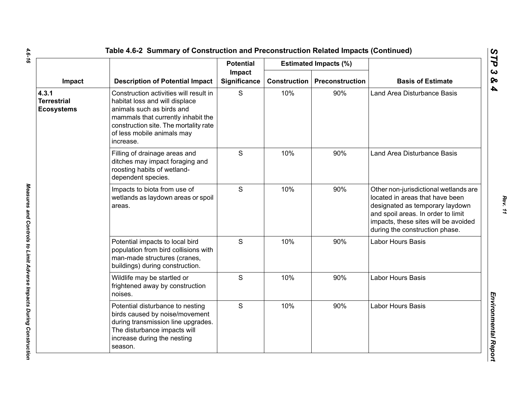|                                                  |                                                                                                                                                                                                                                 | <b>Potential</b>       |                     | <b>Estimated Impacts (%)</b> |                                                                                                                                                                                                                             |
|--------------------------------------------------|---------------------------------------------------------------------------------------------------------------------------------------------------------------------------------------------------------------------------------|------------------------|---------------------|------------------------------|-----------------------------------------------------------------------------------------------------------------------------------------------------------------------------------------------------------------------------|
| Impact                                           | <b>Description of Potential Impact</b>                                                                                                                                                                                          | Impact<br>Significance | <b>Construction</b> | Preconstruction              | <b>Basis of Estimate</b>                                                                                                                                                                                                    |
| 4.3.1<br><b>Terrestrial</b><br><b>Ecosystems</b> | Construction activities will result in<br>habitat loss and will displace<br>animals such as birds and<br>mammals that currently inhabit the<br>construction site. The mortality rate<br>of less mobile animals may<br>increase. | S                      | 10%                 | 90%                          | Land Area Disturbance Basis                                                                                                                                                                                                 |
|                                                  | Filling of drainage areas and<br>ditches may impact foraging and<br>roosting habits of wetland-<br>dependent species.                                                                                                           | S                      | 10%                 | 90%                          | Land Area Disturbance Basis                                                                                                                                                                                                 |
|                                                  | Impacts to biota from use of<br>wetlands as laydown areas or spoil<br>areas.                                                                                                                                                    | S                      | 10%                 | 90%                          | Other non-jurisdictional wetlands are<br>located in areas that have been<br>designated as temporary laydown<br>and spoil areas. In order to limit<br>impacts, these sites will be avoided<br>during the construction phase. |
|                                                  | Potential impacts to local bird<br>population from bird collisions with<br>man-made structures (cranes,<br>buildings) during construction.                                                                                      | S                      | 10%                 | 90%                          | Labor Hours Basis                                                                                                                                                                                                           |
|                                                  | Wildlife may be startled or<br>frightened away by construction<br>noises.                                                                                                                                                       | $\mathsf{S}$           | 10%                 | 90%                          | Labor Hours Basis                                                                                                                                                                                                           |
|                                                  | Potential disturbance to nesting<br>birds caused by noise/movement<br>during transmission line upgrades.<br>The disturbance impacts will<br>increase during the nesting<br>season.                                              | $\mathsf{S}$           | 10%                 | 90%                          | <b>Labor Hours Basis</b>                                                                                                                                                                                                    |

 $\mathbf{r}$ 

*Rev. 11*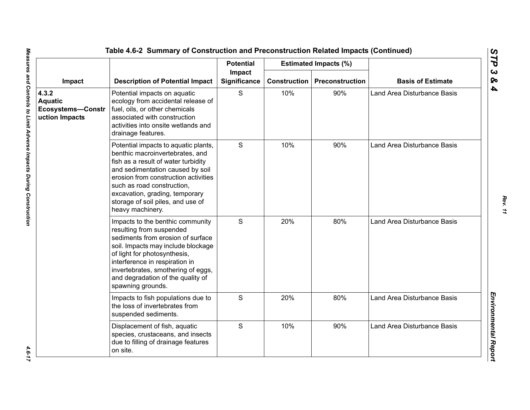|                                                         |                                                                                                                                                                                                                                                                                                                     | <b>Potential</b>       |                     | <b>Estimated Impacts (%)</b> |                                    |
|---------------------------------------------------------|---------------------------------------------------------------------------------------------------------------------------------------------------------------------------------------------------------------------------------------------------------------------------------------------------------------------|------------------------|---------------------|------------------------------|------------------------------------|
| Impact                                                  | <b>Description of Potential Impact</b>                                                                                                                                                                                                                                                                              | Impact<br>Significance | <b>Construction</b> | <b>Preconstruction</b>       | <b>Basis of Estimate</b>           |
| 4.3.2<br>Aquatic<br>Ecosystems-Constr<br>uction Impacts | Potential impacts on aquatic<br>ecology from accidental release of<br>fuel, oils, or other chemicals<br>associated with construction<br>activities into onsite wetlands and<br>drainage features.                                                                                                                   | S                      | 10%                 | 90%                          | <b>Land Area Disturbance Basis</b> |
|                                                         | Potential impacts to aquatic plants,<br>benthic macroinvertebrates, and<br>fish as a result of water turbidity<br>and sedimentation caused by soil<br>erosion from construction activities<br>such as road construction,<br>excavation, grading, temporary<br>storage of soil piles, and use of<br>heavy machinery. | S                      | 10%                 | 90%                          | Land Area Disturbance Basis        |
|                                                         | Impacts to the benthic community<br>resulting from suspended<br>sediments from erosion of surface<br>soil. Impacts may include blockage<br>of light for photosynthesis,<br>interference in respiration in<br>invertebrates, smothering of eggs,<br>and degradation of the quality of<br>spawning grounds.           | S                      | 20%                 | 80%                          | <b>Land Area Disturbance Basis</b> |
|                                                         | Impacts to fish populations due to<br>the loss of invertebrates from<br>suspended sediments.                                                                                                                                                                                                                        | S                      | 20%                 | 80%                          | <b>Land Area Disturbance Basis</b> |
|                                                         | Displacement of fish, aquatic<br>species, crustaceans, and insects<br>due to filling of drainage features<br>on site.                                                                                                                                                                                               | S                      | 10%                 | 90%                          | Land Area Disturbance Basis        |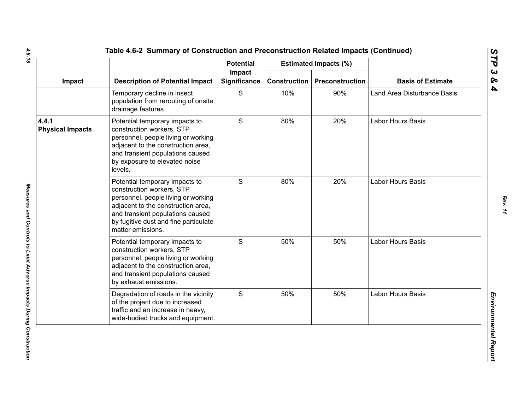|                                  |                                                                                                                                                                                                                                            | <b>Potential</b>              |                     | <b>Estimated Impacts (%)</b> |                             |
|----------------------------------|--------------------------------------------------------------------------------------------------------------------------------------------------------------------------------------------------------------------------------------------|-------------------------------|---------------------|------------------------------|-----------------------------|
| Impact                           | <b>Description of Potential Impact</b>                                                                                                                                                                                                     | Impact<br><b>Significance</b> | <b>Construction</b> | Preconstruction              | <b>Basis of Estimate</b>    |
|                                  | Temporary decline in insect<br>population from rerouting of onsite<br>drainage features.                                                                                                                                                   | S                             | 10%                 | 90%                          | Land Area Disturbance Basis |
| 4.4.1<br><b>Physical Impacts</b> | Potential temporary impacts to<br>construction workers, STP<br>personnel, people living or working<br>adjacent to the construction area,<br>and transient populations caused<br>by exposure to elevated noise<br>levels.                   | S                             | 80%                 | 20%                          | Labor Hours Basis           |
|                                  | Potential temporary impacts to<br>construction workers, STP<br>personnel, people living or working<br>adjacent to the construction area,<br>and transient populations caused<br>by fugitive dust and fine particulate<br>matter emissions. | $\mathsf{S}$                  | 80%                 | 20%                          | Labor Hours Basis           |
|                                  | Potential temporary impacts to<br>construction workers, STP<br>personnel, people living or working<br>adjacent to the construction area,<br>and transient populations caused<br>by exhaust emissions.                                      | S                             | 50%                 | 50%                          | Labor Hours Basis           |
|                                  | Degradation of roads in the vicinity<br>of the project due to increased<br>traffic and an increase in heavy,<br>wide-bodied trucks and equipment.                                                                                          | S                             | 50%                 | 50%                          | Labor Hours Basis           |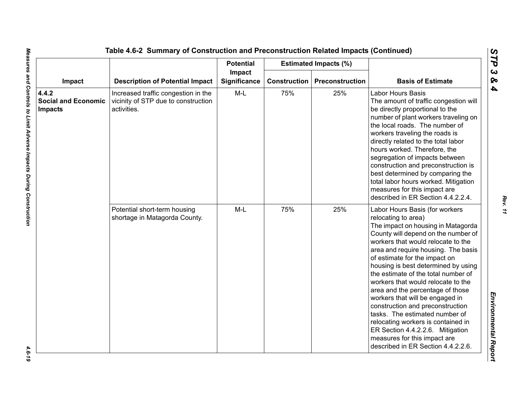|                                                       |                                                                                           | <b>Potential</b>       |                     | <b>Estimated Impacts (%)</b> |                                                                                                                                                                                                                                                                                                                                                                                                                                                                                                                                                                                                                                                                   |
|-------------------------------------------------------|-------------------------------------------------------------------------------------------|------------------------|---------------------|------------------------------|-------------------------------------------------------------------------------------------------------------------------------------------------------------------------------------------------------------------------------------------------------------------------------------------------------------------------------------------------------------------------------------------------------------------------------------------------------------------------------------------------------------------------------------------------------------------------------------------------------------------------------------------------------------------|
| Impact                                                | <b>Description of Potential Impact</b>                                                    | Impact<br>Significance | <b>Construction</b> | Preconstruction              | <b>Basis of Estimate</b>                                                                                                                                                                                                                                                                                                                                                                                                                                                                                                                                                                                                                                          |
| 4.4.2<br><b>Social and Economic</b><br><b>Impacts</b> | Increased traffic congestion in the<br>vicinity of STP due to construction<br>activities. | $M-L$                  | 75%                 | 25%                          | Labor Hours Basis<br>The amount of traffic congestion will<br>be directly proportional to the<br>number of plant workers traveling on<br>the local roads. The number of<br>workers traveling the roads is<br>directly related to the total labor<br>hours worked. Therefore, the<br>segregation of impacts between<br>construction and preconstruction is<br>best determined by comparing the<br>total labor hours worked. Mitigation<br>measures for this impact are<br>described in ER Section 4.4.2.2.4.                                                                                                                                                       |
|                                                       | Potential short-term housing<br>shortage in Matagorda County.                             | $M-L$                  | 75%                 | 25%                          | Labor Hours Basis (for workers<br>relocating to area)<br>The impact on housing in Matagorda<br>County will depend on the number of<br>workers that would relocate to the<br>area and require housing. The basis<br>of estimate for the impact on<br>housing is best determined by using<br>the estimate of the total number of<br>workers that would relocate to the<br>area and the percentage of those<br>workers that will be engaged in<br>construction and preconstruction<br>tasks. The estimated number of<br>relocating workers is contained in<br>ER Section 4.4.2.2.6. Mitigation<br>measures for this impact are<br>described in ER Section 4.4.2.2.6. |

 $-4.6 - 19$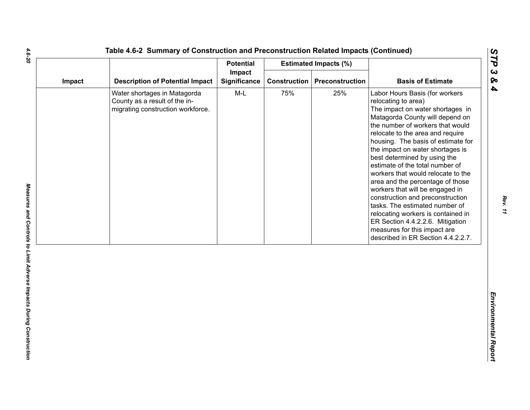| Impact |                                                                                                    | <b>Potential</b>       |                     | <b>Estimated Impacts (%)</b> |                                                                                                                                                                                                                                                                                                                                                                                                                                                                                                                                                                                                                                                                                      |
|--------|----------------------------------------------------------------------------------------------------|------------------------|---------------------|------------------------------|--------------------------------------------------------------------------------------------------------------------------------------------------------------------------------------------------------------------------------------------------------------------------------------------------------------------------------------------------------------------------------------------------------------------------------------------------------------------------------------------------------------------------------------------------------------------------------------------------------------------------------------------------------------------------------------|
|        | <b>Description of Potential Impact</b>                                                             | Impact<br>Significance | <b>Construction</b> | Preconstruction              | <b>Basis of Estimate</b>                                                                                                                                                                                                                                                                                                                                                                                                                                                                                                                                                                                                                                                             |
|        | Water shortages in Matagorda<br>County as a result of the in-<br>migrating construction workforce. | $M-L$                  | 75%                 | 25%                          | Labor Hours Basis (for workers<br>relocating to area)<br>The impact on water shortages in<br>Matagorda County will depend on<br>the number of workers that would<br>relocate to the area and require<br>housing. The basis of estimate for<br>the impact on water shortages is<br>best determined by using the<br>estimate of the total number of<br>workers that would relocate to the<br>area and the percentage of those<br>workers that will be engaged in<br>construction and preconstruction<br>tasks. The estimated number of<br>relocating workers is contained in<br>ER Section 4.4.2.2.6. Mitigation<br>measures for this impact are<br>described in ER Section 4.4.2.2.7. |

4.6-20

*Rev. 11*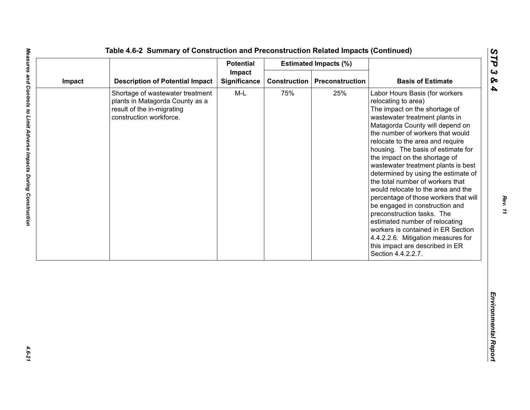| Impact<br><b>Description of Potential Impact</b><br>Significance<br><b>Construction</b><br>Preconstruction<br>Impact<br>$M-L$<br>75%<br>25%<br>Shortage of wastewater treatment<br>plants in Matagorda County as a<br>result of the in-migrating<br>construction workforce. | <b>Basis of Estimate</b><br>Labor Hours Basis (for workers<br>relocating to area)<br>The impact on the shortage of<br>wastewater treatment plants in<br>Matagorda County will depend on<br>the number of workers that would<br>relocate to the area and require                                                                                                                                                                                                                                             |
|-----------------------------------------------------------------------------------------------------------------------------------------------------------------------------------------------------------------------------------------------------------------------------|-------------------------------------------------------------------------------------------------------------------------------------------------------------------------------------------------------------------------------------------------------------------------------------------------------------------------------------------------------------------------------------------------------------------------------------------------------------------------------------------------------------|
|                                                                                                                                                                                                                                                                             |                                                                                                                                                                                                                                                                                                                                                                                                                                                                                                             |
|                                                                                                                                                                                                                                                                             | housing. The basis of estimate for<br>the impact on the shortage of<br>wastewater treatment plants is best<br>determined by using the estimate of<br>the total number of workers that<br>would relocate to the area and the<br>percentage of those workers that will<br>be engaged in construction and<br>preconstruction tasks. The<br>estimated number of relocating<br>workers is contained in ER Section<br>4.4.2.2.6. Mitigation measures for<br>this impact are described in ER<br>Section 4.4.2.2.7. |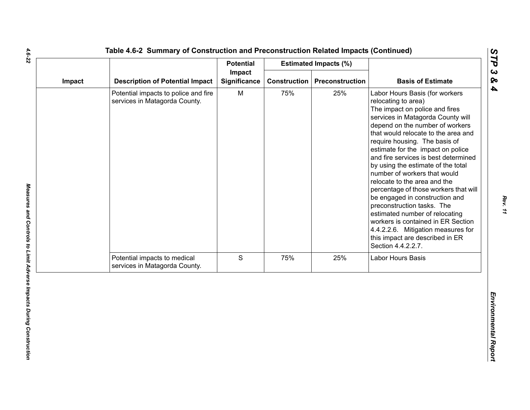|                                                                       | <b>Potential</b>    |        |     |                                                                                                                                                                                                                                                                                                                                                                                                                                                                                                                                                                                                                                                                                                            |
|-----------------------------------------------------------------------|---------------------|--------|-----|------------------------------------------------------------------------------------------------------------------------------------------------------------------------------------------------------------------------------------------------------------------------------------------------------------------------------------------------------------------------------------------------------------------------------------------------------------------------------------------------------------------------------------------------------------------------------------------------------------------------------------------------------------------------------------------------------------|
| <b>Description of Potential Impact</b>                                | <b>Significance</b> |        |     | <b>Basis of Estimate</b>                                                                                                                                                                                                                                                                                                                                                                                                                                                                                                                                                                                                                                                                                   |
| Potential impacts to police and fire<br>services in Matagorda County. | M                   | 75%    | 25% | Labor Hours Basis (for workers<br>relocating to area)<br>The impact on police and fires<br>services in Matagorda County will<br>depend on the number of workers<br>that would relocate to the area and<br>require housing. The basis of<br>estimate for the impact on police<br>and fire services is best determined<br>by using the estimate of the total<br>number of workers that would<br>relocate to the area and the<br>percentage of those workers that will<br>be engaged in construction and<br>preconstruction tasks. The<br>estimated number of relocating<br>workers is contained in ER Section<br>4.4.2.2.6. Mitigation measures for<br>this impact are described in ER<br>Section 4.4.2.2.7. |
| Potential impacts to medical<br>services in Matagorda County.         | S                   | 75%    | 25% | Labor Hours Basis                                                                                                                                                                                                                                                                                                                                                                                                                                                                                                                                                                                                                                                                                          |
|                                                                       |                     |        |     |                                                                                                                                                                                                                                                                                                                                                                                                                                                                                                                                                                                                                                                                                                            |
|                                                                       |                     | Impact |     | <b>Estimated Impacts (%)</b><br><b>Construction</b><br>Preconstruction                                                                                                                                                                                                                                                                                                                                                                                                                                                                                                                                                                                                                                     |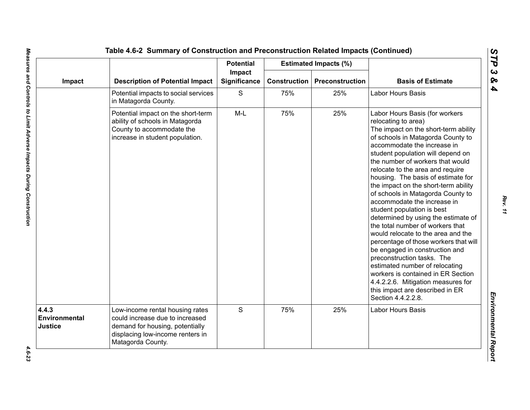|                                   |                                                                                                                                                                | <b>Potential</b>       |                     | <b>Estimated Impacts (%)</b> |                                                                                                                                                                                                                                                                                                                                                                                                                                                                                                                                                                                                                                                                                                                                                                                                                                                                 |
|-----------------------------------|----------------------------------------------------------------------------------------------------------------------------------------------------------------|------------------------|---------------------|------------------------------|-----------------------------------------------------------------------------------------------------------------------------------------------------------------------------------------------------------------------------------------------------------------------------------------------------------------------------------------------------------------------------------------------------------------------------------------------------------------------------------------------------------------------------------------------------------------------------------------------------------------------------------------------------------------------------------------------------------------------------------------------------------------------------------------------------------------------------------------------------------------|
| Impact                            | <b>Description of Potential Impact</b>                                                                                                                         | Impact<br>Significance | <b>Construction</b> | <b>Preconstruction</b>       | <b>Basis of Estimate</b>                                                                                                                                                                                                                                                                                                                                                                                                                                                                                                                                                                                                                                                                                                                                                                                                                                        |
|                                   | Potential impacts to social services<br>in Matagorda County.                                                                                                   | S                      | 75%                 | 25%                          | Labor Hours Basis                                                                                                                                                                                                                                                                                                                                                                                                                                                                                                                                                                                                                                                                                                                                                                                                                                               |
|                                   | Potential impact on the short-term<br>ability of schools in Matagorda<br>County to accommodate the<br>increase in student population.                          | $M-L$                  | 75%                 | 25%                          | Labor Hours Basis (for workers<br>relocating to area)<br>The impact on the short-term ability<br>of schools in Matagorda County to<br>accommodate the increase in<br>student population will depend on<br>the number of workers that would<br>relocate to the area and require<br>housing. The basis of estimate for<br>the impact on the short-term ability<br>of schools in Matagorda County to<br>accommodate the increase in<br>student population is best<br>determined by using the estimate of<br>the total number of workers that<br>would relocate to the area and the<br>percentage of those workers that will<br>be engaged in construction and<br>preconstruction tasks. The<br>estimated number of relocating<br>workers is contained in ER Section<br>4.4.2.2.6. Mitigation measures for<br>this impact are described in ER<br>Section 4.4.2.2.8. |
| 4.4.3<br>Environmental<br>Justice | Low-income rental housing rates<br>could increase due to increased<br>demand for housing, potentially<br>displacing low-income renters in<br>Matagorda County. | S                      | 75%                 | 25%                          | Labor Hours Basis                                                                                                                                                                                                                                                                                                                                                                                                                                                                                                                                                                                                                                                                                                                                                                                                                                               |

*STP 3 & 4*